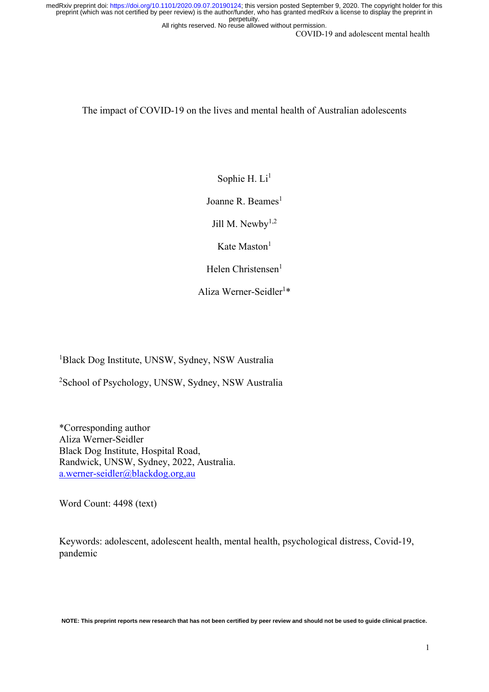All rights reserved. No reuse allowed without permission.

COVID-19 and adolescent mental health

The impact of COVID-19 on the lives and mental health of Australian adolescents

Sophie H. Li<sup>1</sup>

Joanne R. Beames $<sup>1</sup>$ </sup>

Jill M. Newby $1,2$ 

Kate Maston $<sup>1</sup>$ </sup>

Helen Christensen $<sup>1</sup>$ </sup>

Aliza Werner-Seidler<sup>1\*</sup>

<sup>1</sup>Black Dog Institute, UNSW, Sydney, NSW Australia

<sup>2</sup>School of Psychology, UNSW, Sydney, NSW Australia

\*Corresponding author Aliza Werner-Seidler Black Dog Institute, Hospital Road, Randwick, UNSW, Sydney, 2022, Australia. [a.werner-seidler@blackdog.org,au](mailto:a.werner-seidler@blackdog.org,au) 

Word Count: 4498 (text)

Keywords: adolescent, adolescent health, mental health, psychological distress, Covid-19, pandemic

**NOTE: This preprint reports new research that has not been certified by peer review and should not be used to guide clinical practice.**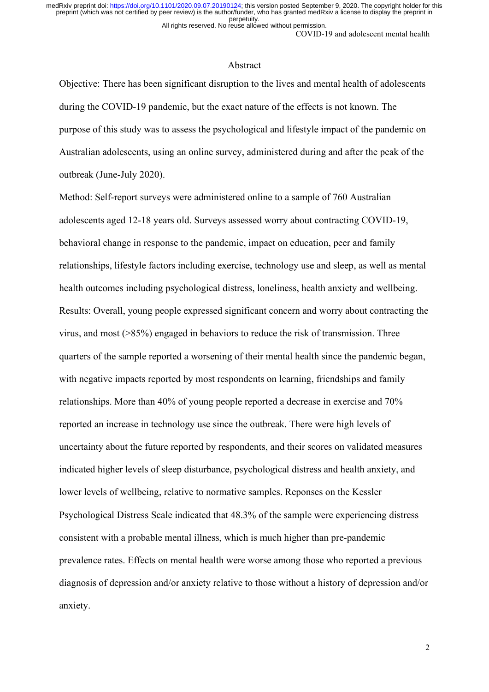All rights reserved. No reuse allowed without permission.

#### COVID-19 and adolescent mental health

#### Abstract

Objective: There has been significant disruption to the lives and mental health of adolescents during the COVID-19 pandemic, but the exact nature of the effects is not known. The purpose of this study was to assess the psychological and lifestyle impact of the pandemic on Australian adolescents, using an online survey, administered during and after the peak of the outbreak (June-July 2020).

Method: Self-report surveys were administered online to a sample of 760 Australian adolescents aged 12-18 years old. Surveys assessed worry about contracting COVID-19, behavioral change in response to the pandemic, impact on education, peer and family relationships, lifestyle factors including exercise, technology use and sleep, as well as mental health outcomes including psychological distress, loneliness, health anxiety and wellbeing. Results: Overall, young people expressed significant concern and worry about contracting the virus, and most (>85%) engaged in behaviors to reduce the risk of transmission. Three quarters of the sample reported a worsening of their mental health since the pandemic began, with negative impacts reported by most respondents on learning, friendships and family relationships. More than 40% of young people reported a decrease in exercise and 70% reported an increase in technology use since the outbreak. There were high levels of uncertainty about the future reported by respondents, and their scores on validated measures indicated higher levels of sleep disturbance, psychological distress and health anxiety, and lower levels of wellbeing, relative to normative samples. Reponses on the Kessler Psychological Distress Scale indicated that 48.3% of the sample were experiencing distress consistent with a probable mental illness, which is much higher than pre-pandemic prevalence rates. Effects on mental health were worse among those who reported a previous diagnosis of depression and/or anxiety relative to those without a history of depression and/or anxiety.

2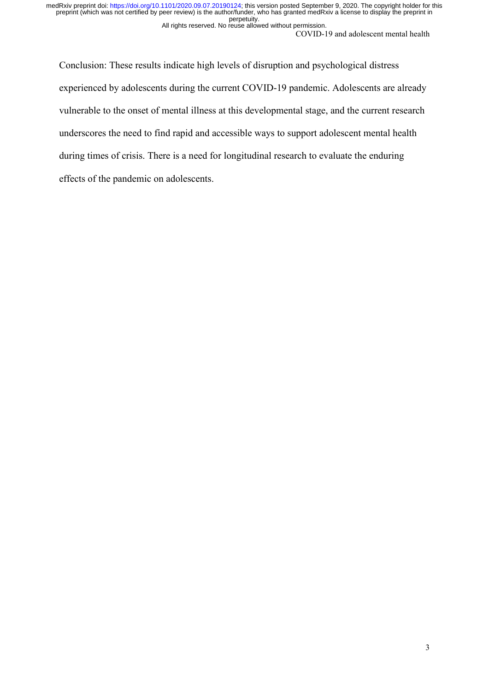All rights reserved. No reuse allowed without permission.

COVID-19 and adolescent mental health

Conclusion: These results indicate high levels of disruption and psychological distress experienced by adolescents during the current COVID-19 pandemic. Adolescents are already vulnerable to the onset of mental illness at this developmental stage, and the current research underscores the need to find rapid and accessible ways to support adolescent mental health during times of crisis. There is a need for longitudinal research to evaluate the enduring effects of the pandemic on adolescents.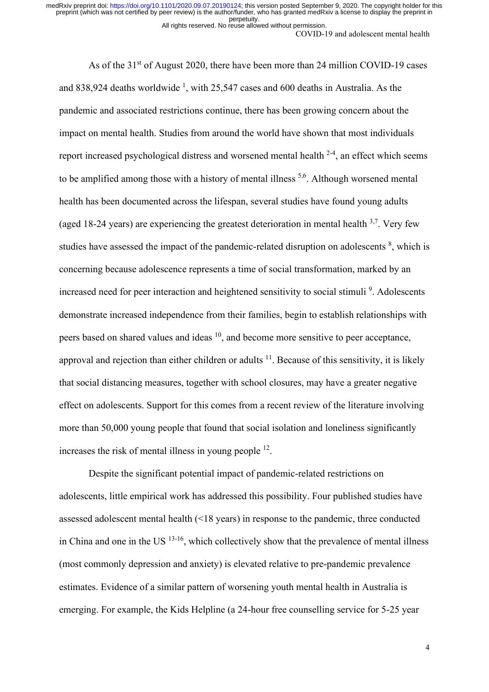All rights reserved. No reuse allowed without permission.

COVID-19 and adolescent mental health

As of the 31<sup>st</sup> of August 2020, there have been more than 24 million COVID-19 cases and 838,924 deaths worldwide  $\frac{1}{2}$ , with 25,547 cases and 600 deaths in Australia. As the pandemic and associated restrictions continue, there has been growing concern about the impact on mental health. Studies from around the world have shown that most individuals report increased psychological distress and worsened mental health  $2-4$ , an effect which seems to be amplified among those with a history of mental illness <sup>5,6</sup>. Although worsened mental health has been documented across the lifespan, several studies have found young adults (aged 18-24 years) are experiencing the greatest deterioration in mental health  $3.7$ . Very few studies have assessed the impact of the pandemic-related disruption on adolescents  $\frac{8}{3}$ , which is concerning because adolescence represents a time of social transformation, marked by an increased need for peer interaction and heightened sensitivity to social stimuli<sup>9</sup>. Adolescents demonstrate increased independence from their families, begin to establish relationships with peers based on shared values and ideas  $10$ , and become more sensitive to peer acceptance, approval and rejection than either children or adults  $11$ . Because of this sensitivity, it is likely that social distancing measures, together with school closures, may have a greater negative effect on adolescents. Support for this comes from a recent review of the literature involving more than 50,000 young people that found that social isolation and loneliness significantly increases the risk of mental illness in young people  $^{12}$ .

Despite the significant potential impact of pandemic-related restrictions on adolescents, little empirical work has addressed this possibility. Four published studies have assessed adolescent mental health (<18 years) in response to the pandemic, three conducted in China and one in the US  $<sup>13-16</sup>$ , which collectively show that the prevalence of mental illness</sup> (most commonly depression and anxiety) is elevated relative to pre-pandemic prevalence estimates. Evidence of a similar pattern of worsening youth mental health in Australia is emerging. For example, the Kids Helpline (a 24-hour free counselling service for 5-25 year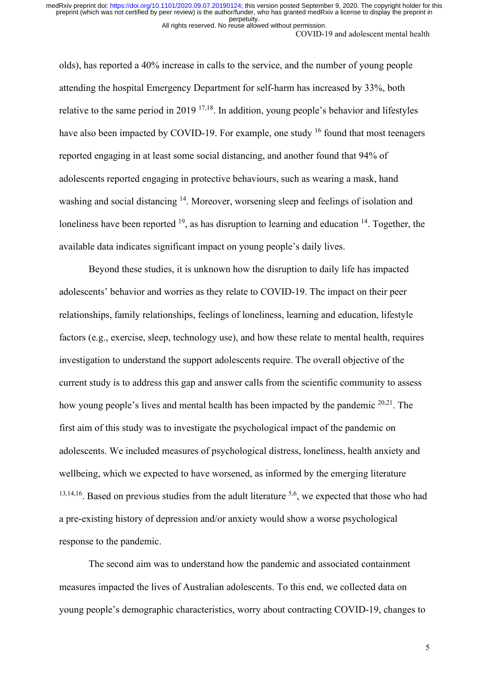All rights reserved. No reuse allowed without permission.

COVID-19 and adolescent mental health

olds), has reported a 40% increase in calls to the service, and the number of young people attending the hospital Emergency Department for self-harm has increased by 33%, both relative to the same period in 2019  $17,18$ . In addition, young people's behavior and lifestyles have also been impacted by COVID-19. For example, one study <sup>16</sup> found that most teenagers reported engaging in at least some social distancing, and another found that 94% of adolescents reported engaging in protective behaviours, such as wearing a mask, hand washing and social distancing <sup>14</sup>. Moreover, worsening sleep and feelings of isolation and loneliness have been reported  $19$ , as has disruption to learning and education  $14$ . Together, the available data indicates significant impact on young people's daily lives.

Beyond these studies, it is unknown how the disruption to daily life has impacted adolescents' behavior and worries as they relate to COVID-19. The impact on their peer relationships, family relationships, feelings of loneliness, learning and education, lifestyle factors (e.g., exercise, sleep, technology use), and how these relate to mental health, requires investigation to understand the support adolescents require. The overall objective of the current study is to address this gap and answer calls from the scientific community to assess how young people's lives and mental health has been impacted by the pandemic <sup>20,21</sup>. The first aim of this study was to investigate the psychological impact of the pandemic on adolescents. We included measures of psychological distress, loneliness, health anxiety and wellbeing, which we expected to have worsened, as informed by the emerging literature  $13,14,16$ . Based on previous studies from the adult literature  $5,6$ , we expected that those who had a pre-existing history of depression and/or anxiety would show a worse psychological response to the pandemic.

The second aim was to understand how the pandemic and associated containment measures impacted the lives of Australian adolescents. To this end, we collected data on young people's demographic characteristics, worry about contracting COVID-19, changes to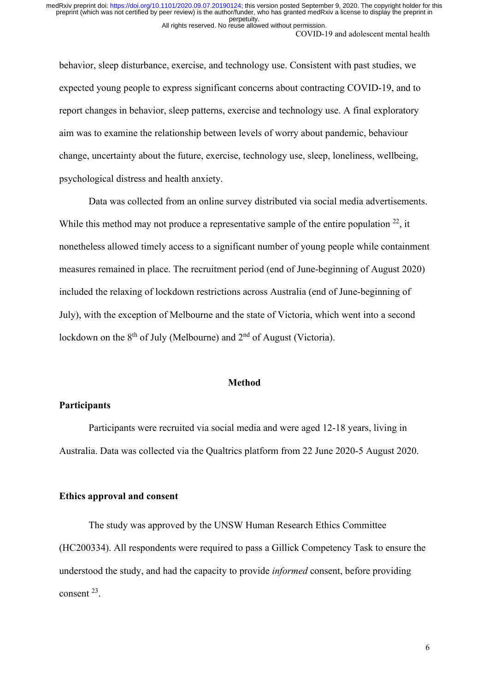COVID-19 and adolescent mental health

behavior, sleep disturbance, exercise, and technology use. Consistent with past studies, we expected young people to express significant concerns about contracting COVID-19, and to report changes in behavior, sleep patterns, exercise and technology use. A final exploratory aim was to examine the relationship between levels of worry about pandemic, behaviour change, uncertainty about the future, exercise, technology use, sleep, loneliness, wellbeing, psychological distress and health anxiety.

Data was collected from an online survey distributed via social media advertisements. While this method may not produce a representative sample of the entire population  $^{22}$ , it nonetheless allowed timely access to a significant number of young people while containment measures remained in place. The recruitment period (end of June-beginning of August 2020) included the relaxing of lockdown restrictions across Australia (end of June-beginning of July), with the exception of Melbourne and the state of Victoria, which went into a second lockdown on the  $8<sup>th</sup>$  of July (Melbourne) and  $2<sup>nd</sup>$  of August (Victoria).

## **Method**

# **Participants**

Participants were recruited via social media and were aged 12-18 years, living in Australia. Data was collected via the Qualtrics platform from 22 June 2020-5 August 2020.

### **Ethics approval and consent**

The study was approved by the UNSW Human Research Ethics Committee (HC200334). All respondents were required to pass a Gillick Competency Task to ensure the understood the study, and had the capacity to provide *informed* consent, before providing consent 23.

All rights reserved. No reuse allowed without permission.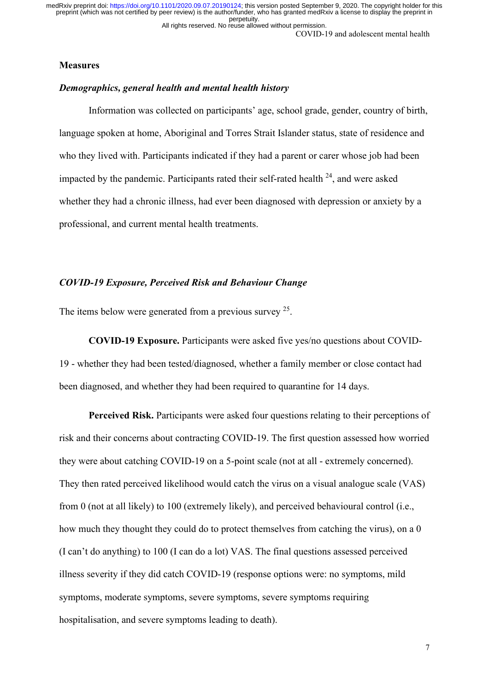All rights reserved. No reuse allowed without permission.

COVID-19 and adolescent mental health

### **Measures**

# *Demographics, general health and mental health history*

Information was collected on participants' age, school grade, gender, country of birth, language spoken at home, Aboriginal and Torres Strait Islander status, state of residence and who they lived with. Participants indicated if they had a parent or carer whose job had been impacted by the pandemic. Participants rated their self-rated health  $^{24}$ , and were asked whether they had a chronic illness, had ever been diagnosed with depression or anxiety by a professional, and current mental health treatments.

# *COVID-19 Exposure, Perceived Risk and Behaviour Change*

The items below were generated from a previous survey <sup>25</sup>.

**COVID-19 Exposure.** Participants were asked five yes/no questions about COVID-19 - whether they had been tested/diagnosed, whether a family member or close contact had been diagnosed, and whether they had been required to quarantine for 14 days.

**Perceived Risk.** Participants were asked four questions relating to their perceptions of risk and their concerns about contracting COVID-19. The first question assessed how worried they were about catching COVID-19 on a 5-point scale (not at all - extremely concerned). They then rated perceived likelihood would catch the virus on a visual analogue scale (VAS) from 0 (not at all likely) to 100 (extremely likely), and perceived behavioural control (i.e., how much they thought they could do to protect themselves from catching the virus), on a 0 (I can't do anything) to 100 (I can do a lot) VAS. The final questions assessed perceived illness severity if they did catch COVID-19 (response options were: no symptoms, mild symptoms, moderate symptoms, severe symptoms, severe symptoms requiring hospitalisation, and severe symptoms leading to death).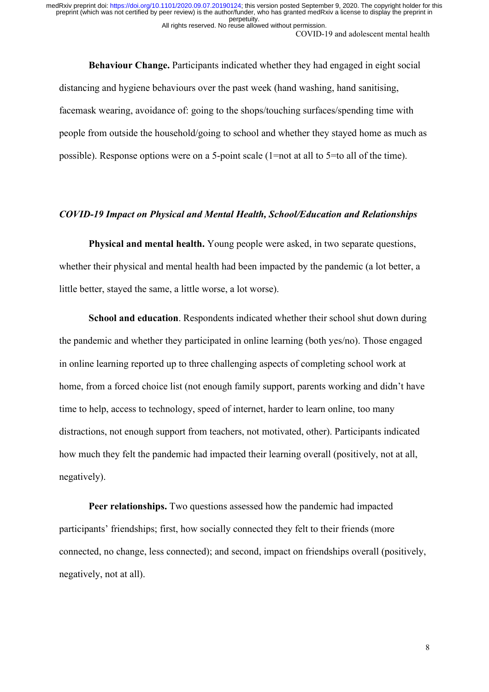**Behaviour Change.** Participants indicated whether they had engaged in eight social distancing and hygiene behaviours over the past week (hand washing, hand sanitising, facemask wearing, avoidance of: going to the shops/touching surfaces/spending time with people from outside the household/going to school and whether they stayed home as much as possible). Response options were on a 5-point scale (1=not at all to 5=to all of the time).

# *COVID-19 Impact on Physical and Mental Health, School/Education and Relationships*

**Physical and mental health.** Young people were asked, in two separate questions, whether their physical and mental health had been impacted by the pandemic (a lot better, a little better, stayed the same, a little worse, a lot worse).

**School and education**. Respondents indicated whether their school shut down during the pandemic and whether they participated in online learning (both yes/no). Those engaged in online learning reported up to three challenging aspects of completing school work at home, from a forced choice list (not enough family support, parents working and didn't have time to help, access to technology, speed of internet, harder to learn online, too many distractions, not enough support from teachers, not motivated, other). Participants indicated how much they felt the pandemic had impacted their learning overall (positively, not at all, negatively).

**Peer relationships.** Two questions assessed how the pandemic had impacted participants' friendships; first, how socially connected they felt to their friends (more connected, no change, less connected); and second, impact on friendships overall (positively, negatively, not at all).

COVID-19 and adolescent mental health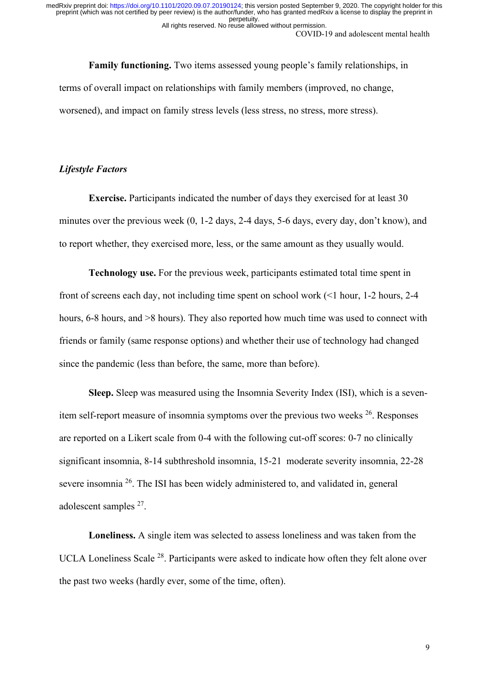All rights reserved. No reuse allowed without permission.

COVID-19 and adolescent mental health

**Family functioning.** Two items assessed young people's family relationships, in terms of overall impact on relationships with family members (improved, no change, worsened), and impact on family stress levels (less stress, no stress, more stress).

# *Lifestyle Factors*

**Exercise.** Participants indicated the number of days they exercised for at least 30 minutes over the previous week (0, 1-2 days, 2-4 days, 5-6 days, every day, don't know), and to report whether, they exercised more, less, or the same amount as they usually would.

**Technology use.** For the previous week, participants estimated total time spent in front of screens each day, not including time spent on school work (<1 hour, 1-2 hours, 2-4 hours, 6-8 hours, and >8 hours). They also reported how much time was used to connect with friends or family (same response options) and whether their use of technology had changed since the pandemic (less than before, the same, more than before).

**Sleep.** Sleep was measured using the Insomnia Severity Index (ISI), which is a sevenitem self-report measure of insomnia symptoms over the previous two weeks  $26$ . Responses are reported on a Likert scale from 0-4 with the following cut-off scores: 0-7 no clinically significant insomnia, 8-14 subthreshold insomnia, 15-21 moderate severity insomnia, 22-28 severe insomnia 26. The ISI has been widely administered to, and validated in, general adolescent samples 27.

**Loneliness.** A single item was selected to assess loneliness and was taken from the UCLA Loneliness Scale<sup>28</sup>. Participants were asked to indicate how often they felt alone over the past two weeks (hardly ever, some of the time, often).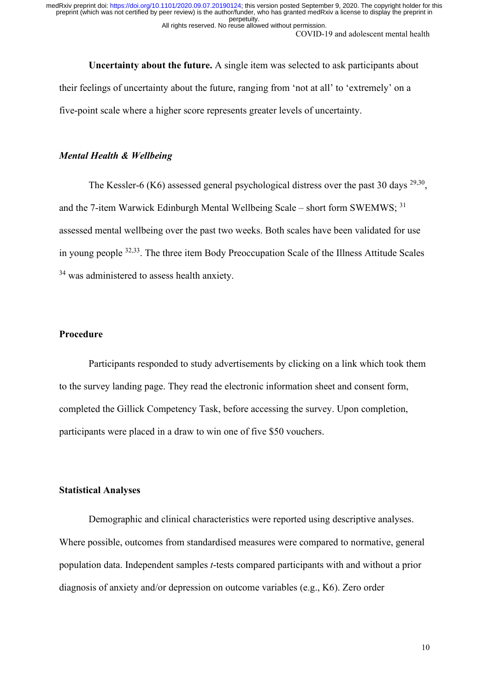All rights reserved. No reuse allowed without permission.

COVID-19 and adolescent mental health

**Uncertainty about the future.** A single item was selected to ask participants about their feelings of uncertainty about the future, ranging from 'not at all' to 'extremely' on a five-point scale where a higher score represents greater levels of uncertainty.

## *Mental Health & Wellbeing*

The Kessler-6 (K6) assessed general psychological distress over the past 30 days  $^{29,30}$ , and the 7-item Warwick Edinburgh Mental Wellbeing Scale – short form SWEMWS; <sup>31</sup> assessed mental wellbeing over the past two weeks. Both scales have been validated for use in young people 32,33. The three item Body Preoccupation Scale of the Illness Attitude Scales <sup>34</sup> was administered to assess health anxiety.

# **Procedure**

Participants responded to study advertisements by clicking on a link which took them to the survey landing page. They read the electronic information sheet and consent form, completed the Gillick Competency Task, before accessing the survey. Upon completion, participants were placed in a draw to win one of five \$50 vouchers.

# **Statistical Analyses**

Demographic and clinical characteristics were reported using descriptive analyses. Where possible, outcomes from standardised measures were compared to normative, general population data. Independent samples *t*-tests compared participants with and without a prior diagnosis of anxiety and/or depression on outcome variables (e.g., K6). Zero order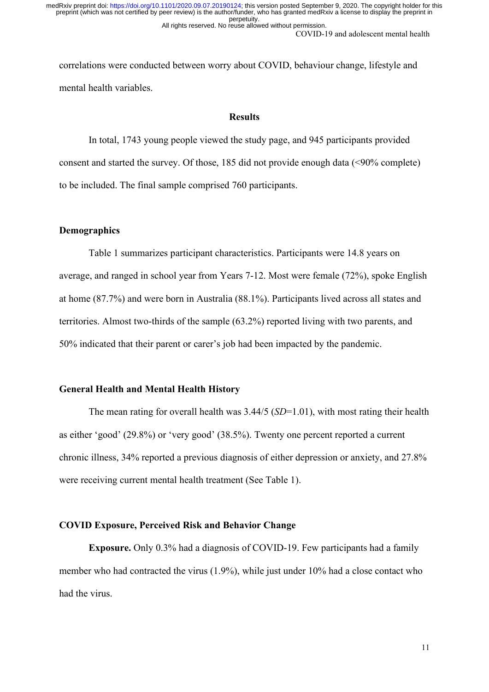COVID-19 and adolescent mental health All rights reserved. No reuse allowed without permission.

correlations were conducted between worry about COVID, behaviour change, lifestyle and mental health variables.

# **Results**

In total, 1743 young people viewed the study page, and 945 participants provided consent and started the survey. Of those, 185 did not provide enough data (<90% complete) to be included. The final sample comprised 760 participants.

# **Demographics**

Table 1 summarizes participant characteristics. Participants were 14.8 years on average, and ranged in school year from Years 7-12. Most were female (72%), spoke English at home (87.7%) and were born in Australia (88.1%). Participants lived across all states and territories. Almost two-thirds of the sample (63.2%) reported living with two parents, and 50% indicated that their parent or carer's job had been impacted by the pandemic.

## **General Health and Mental Health History**

The mean rating for overall health was 3.44/5 (*SD*=1.01), with most rating their health as either 'good' (29.8%) or 'very good' (38.5%). Twenty one percent reported a current chronic illness, 34% reported a previous diagnosis of either depression or anxiety, and 27.8% were receiving current mental health treatment (See Table 1).

## **COVID Exposure, Perceived Risk and Behavior Change**

**Exposure.** Only 0.3% had a diagnosis of COVID-19. Few participants had a family member who had contracted the virus (1.9%), while just under 10% had a close contact who had the virus.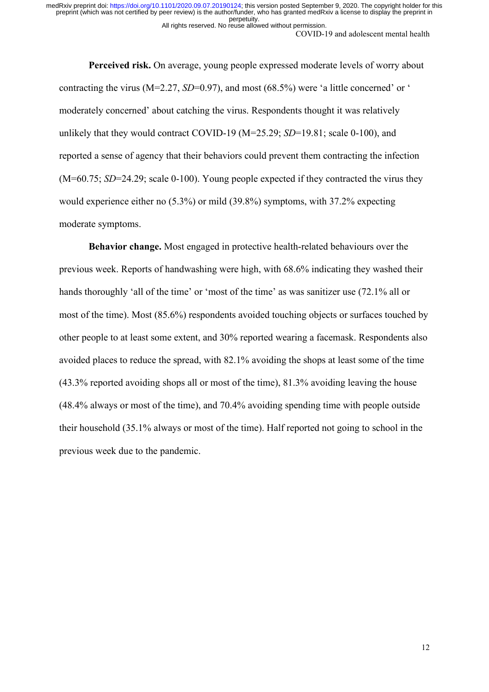COVID-19 and adolescent mental health

**Perceived risk.** On average, young people expressed moderate levels of worry about contracting the virus (M=2.27, *SD*=0.97), and most (68.5%) were 'a little concerned' or ' moderately concerned' about catching the virus. Respondents thought it was relatively unlikely that they would contract COVID-19 (M=25.29; *SD*=19.81; scale 0-100), and reported a sense of agency that their behaviors could prevent them contracting the infection (M=60.75; *SD*=24.29; scale 0-100). Young people expected if they contracted the virus they would experience either no (5.3%) or mild (39.8%) symptoms, with 37.2% expecting moderate symptoms.

**Behavior change.** Most engaged in protective health-related behaviours over the previous week. Reports of handwashing were high, with 68.6% indicating they washed their hands thoroughly 'all of the time' or 'most of the time' as was sanitizer use (72.1% all or most of the time). Most (85.6%) respondents avoided touching objects or surfaces touched by other people to at least some extent, and 30% reported wearing a facemask. Respondents also avoided places to reduce the spread, with 82.1% avoiding the shops at least some of the time (43.3% reported avoiding shops all or most of the time), 81.3% avoiding leaving the house (48.4% always or most of the time), and 70.4% avoiding spending time with people outside their household (35.1% always or most of the time). Half reported not going to school in the previous week due to the pandemic.

All rights reserved. No reuse allowed without permission.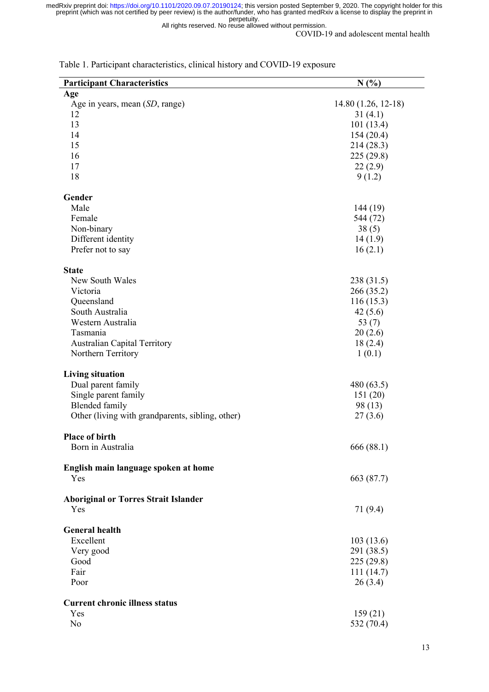All rights reserved. No reuse allowed without permission.

COVID-19 and adolescent mental health

| <b>Participant Characteristics</b>               | N(%)                     |
|--------------------------------------------------|--------------------------|
| Age                                              |                          |
| Age in years, mean (SD, range)                   | 14.80 (1.26, 12-18)      |
| 12                                               | 31(4.1)                  |
| 13                                               | 101(13.4)                |
| 14                                               | 154(20.4)                |
| 15                                               | 214 (28.3)               |
| 16                                               | 225 (29.8)               |
| 17                                               | 22(2.9)                  |
| 18                                               | 9(1.2)                   |
| Gender                                           |                          |
| Male                                             | 144 (19)                 |
| Female                                           | 544 (72)                 |
| Non-binary                                       | 38(5)                    |
| Different identity                               | 14(1.9)                  |
| Prefer not to say                                | 16(2.1)                  |
|                                                  |                          |
| <b>State</b>                                     |                          |
| New South Wales                                  | 238 (31.5)               |
| Victoria                                         | 266 (35.2)               |
| Queensland                                       | 116(15.3)                |
| South Australia                                  | 42(5.6)                  |
| Western Australia                                | 53 $(7)$                 |
| Tasmania                                         | 20(2.6)                  |
| <b>Australian Capital Territory</b>              | 18(2.4)                  |
| Northern Territory                               | 1(0.1)                   |
| <b>Living situation</b>                          |                          |
| Dual parent family                               | 480(63.5)                |
| Single parent family                             | 151(20)                  |
| <b>Blended</b> family                            | 98 (13)                  |
| Other (living with grandparents, sibling, other) | 27(3.6)                  |
|                                                  |                          |
| Place of birth                                   |                          |
| Born in Australia                                | 666 (88.1)               |
| English main language spoken at home             |                          |
| Yes                                              | 663 (87.7)               |
|                                                  |                          |
| <b>Aboriginal or Torres Strait Islander</b>      |                          |
| Yes                                              | 71 (9.4)                 |
| <b>General health</b>                            |                          |
| Excellent                                        |                          |
|                                                  | 103(13.6)                |
| Very good<br>Good                                | 291 (38.5)<br>225 (29.8) |
| Fair                                             |                          |
| Poor                                             | 111(14.7)                |
|                                                  | 26(3.4)                  |
| <b>Current chronic illness status</b>            |                          |
| Yes                                              | 159(21)                  |
| No                                               | 532 (70.4)               |
|                                                  |                          |

Table 1. Participant characteristics, clinical history and COVID-19 exposure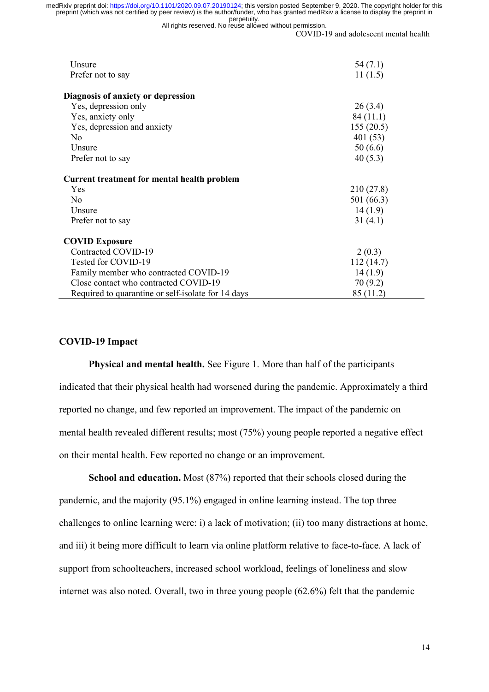All rights reserved. No reuse allowed without permission.

COVID-19 and adolescent mental health

| Unsure                                             | 54(7.1)    |
|----------------------------------------------------|------------|
| Prefer not to say                                  | 11(1.5)    |
| Diagnosis of anxiety or depression                 |            |
| Yes, depression only                               | 26(3.4)    |
| Yes, anxiety only                                  | 84 (11.1)  |
| Yes, depression and anxiety                        | 155(20.5)  |
| N <sub>o</sub>                                     | 401(53)    |
| Unsure                                             | 50(6.6)    |
| Prefer not to say                                  | 40(5.3)    |
| Current treatment for mental health problem        |            |
| Yes                                                | 210(27.8)  |
| N <sub>o</sub>                                     | 501 (66.3) |
| Unsure                                             | 14(1.9)    |
| Prefer not to say                                  | 31(4.1)    |
| <b>COVID Exposure</b>                              |            |
| Contracted COVID-19                                | 2(0.3)     |
| Tested for COVID-19                                | 112(14.7)  |
| Family member who contracted COVID-19              | 14(1.9)    |
| Close contact who contracted COVID-19              | 70 (9.2)   |
| Required to quarantine or self-isolate for 14 days | 85 (11.2)  |

#### **COVID-19 Impact**

**Physical and mental health.** See Figure 1. More than half of the participants indicated that their physical health had worsened during the pandemic. Approximately a third reported no change, and few reported an improvement. The impact of the pandemic on mental health revealed different results; most (75%) young people reported a negative effect on their mental health. Few reported no change or an improvement.

**School and education.** Most (87%) reported that their schools closed during the pandemic, and the majority (95.1%) engaged in online learning instead. The top three challenges to online learning were: i) a lack of motivation; (ii) too many distractions at home, and iii) it being more difficult to learn via online platform relative to face-to-face. A lack of support from schoolteachers, increased school workload, feelings of loneliness and slow internet was also noted. Overall, two in three young people (62.6%) felt that the pandemic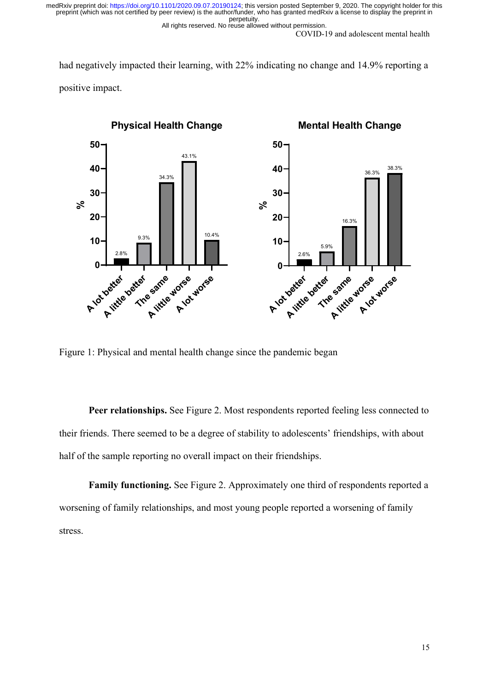All rights reserved. No reuse allowed without permission.

COVID-19 and adolescent mental health

had negatively impacted their learning, with 22% indicating no change and 14.9% reporting a positive impact.



Figure 1: Physical and mental health change since the pandemic began

**Peer relationships.** See Figure 2. Most respondents reported feeling less connected to their friends. There seemed to be a degree of stability to adolescents' friendships, with about half of the sample reporting no overall impact on their friendships.

**Family functioning.** See Figure 2. Approximately one third of respondents reported a worsening of family relationships, and most young people reported a worsening of family stress.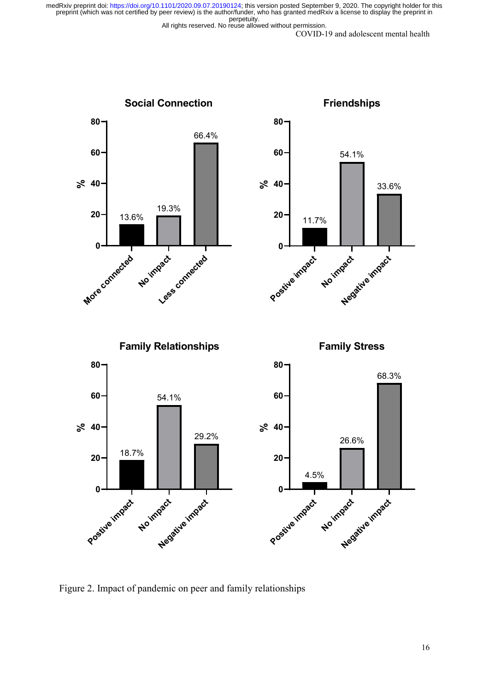All rights reserved. No reuse allowed without permission.

COVID-19 and adolescent mental health



Figure 2. Impact of pandemic on peer and family relationships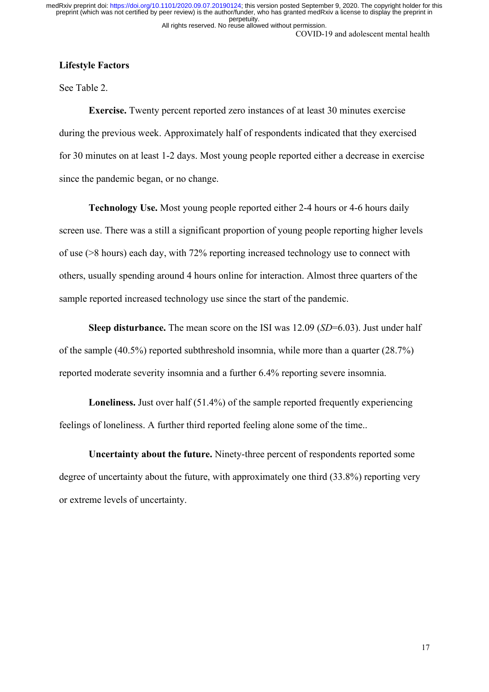COVID-19 and adolescent mental health All rights reserved. No reuse allowed without permission. perpetuity. preprint (which was not certified by peer review) is the author/funder, who has granted medRxiv a license to display the preprint in medRxiv preprint doi: [https://doi.org/10.1101/2020.09.07.20190124;](https://doi.org/10.1101/2020.09.07.20190124) this version posted September 9, 2020. The copyright holder for this

# **Lifestyle Factors**

See Table 2.

**Exercise.** Twenty percent reported zero instances of at least 30 minutes exercise during the previous week. Approximately half of respondents indicated that they exercised for 30 minutes on at least 1-2 days. Most young people reported either a decrease in exercise since the pandemic began, or no change.

**Technology Use.** Most young people reported either 2-4 hours or 4-6 hours daily screen use. There was a still a significant proportion of young people reporting higher levels of use (>8 hours) each day, with 72% reporting increased technology use to connect with others, usually spending around 4 hours online for interaction. Almost three quarters of the sample reported increased technology use since the start of the pandemic.

**Sleep disturbance.** The mean score on the ISI was 12.09 (*SD*=6.03). Just under half of the sample (40.5%) reported subthreshold insomnia, while more than a quarter (28.7%) reported moderate severity insomnia and a further 6.4% reporting severe insomnia.

**Loneliness.** Just over half (51.4%) of the sample reported frequently experiencing feelings of loneliness. A further third reported feeling alone some of the time..

**Uncertainty about the future.** Ninety-three percent of respondents reported some degree of uncertainty about the future, with approximately one third (33.8%) reporting very or extreme levels of uncertainty.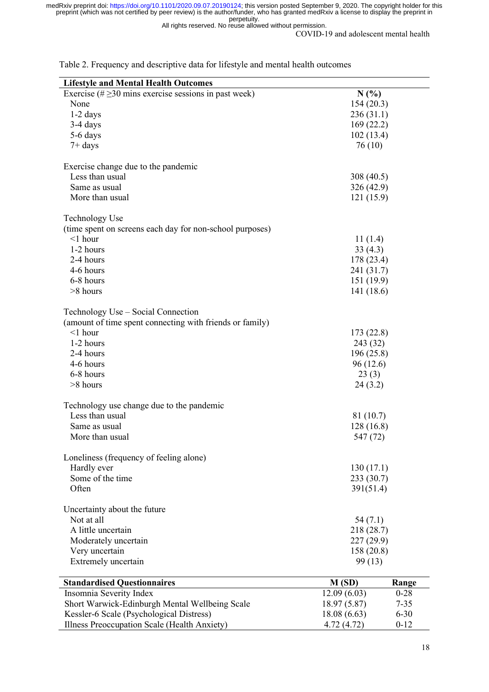All rights reserved. No reuse allowed without permission.

COVID-19 and adolescent mental health

| <b>Lifestyle and Mental Health Outcomes</b>                |                         |          |  |  |  |  |
|------------------------------------------------------------|-------------------------|----------|--|--|--|--|
| Exercise (# $\geq$ 30 mins exercise sessions in past week) | N(%)                    |          |  |  |  |  |
| None                                                       | 154(20.3)               |          |  |  |  |  |
| $1-2$ days                                                 | 236(31.1)               |          |  |  |  |  |
| $3-4$ days                                                 |                         |          |  |  |  |  |
| 5-6 days                                                   | 169(22.2)<br>102(13.4)  |          |  |  |  |  |
|                                                            | 76 (10)                 |          |  |  |  |  |
| $7+$ days                                                  |                         |          |  |  |  |  |
|                                                            |                         |          |  |  |  |  |
| Exercise change due to the pandemic<br>Less than usual     |                         |          |  |  |  |  |
|                                                            | 308 (40.5)              |          |  |  |  |  |
| Same as usual                                              | 326 (42.9)<br>121(15.9) |          |  |  |  |  |
| More than usual                                            |                         |          |  |  |  |  |
| Technology Use                                             |                         |          |  |  |  |  |
| (time spent on screens each day for non-school purposes)   |                         |          |  |  |  |  |
| $<$ 1 hour                                                 | 11(1.4)                 |          |  |  |  |  |
| 1-2 hours                                                  | 33(4.3)                 |          |  |  |  |  |
| 2-4 hours                                                  |                         |          |  |  |  |  |
| 4-6 hours                                                  | 178 (23.4)              |          |  |  |  |  |
|                                                            | 241 (31.7)              |          |  |  |  |  |
| 6-8 hours                                                  | 151 (19.9)              |          |  |  |  |  |
| >8 hours                                                   | 141 (18.6)              |          |  |  |  |  |
| Technology Use - Social Connection                         |                         |          |  |  |  |  |
| (amount of time spent connecting with friends or family)   |                         |          |  |  |  |  |
| $<$ 1 hour                                                 | 173 (22.8)              |          |  |  |  |  |
| 1-2 hours                                                  | 243 (32)                |          |  |  |  |  |
| 2-4 hours                                                  |                         |          |  |  |  |  |
|                                                            | 196 (25.8)              |          |  |  |  |  |
| 4-6 hours                                                  | 96(12.6)                |          |  |  |  |  |
| 6-8 hours                                                  | 23(3)                   |          |  |  |  |  |
| >8 hours                                                   | 24(3.2)                 |          |  |  |  |  |
| Technology use change due to the pandemic                  |                         |          |  |  |  |  |
| Less than usual                                            | 81 (10.7)               |          |  |  |  |  |
| Same as usual                                              |                         |          |  |  |  |  |
| More than usual                                            | 128(16.8)<br>547 (72)   |          |  |  |  |  |
|                                                            |                         |          |  |  |  |  |
| Loneliness (frequency of feeling alone)                    |                         |          |  |  |  |  |
| Hardly ever                                                | 130(17.1)               |          |  |  |  |  |
| Some of the time                                           | 233 (30.7)              |          |  |  |  |  |
| Often                                                      | 391(51.4)               |          |  |  |  |  |
|                                                            |                         |          |  |  |  |  |
| Uncertainty about the future                               |                         |          |  |  |  |  |
| Not at all                                                 | 54(7.1)                 |          |  |  |  |  |
| A little uncertain                                         | 218 (28.7)              |          |  |  |  |  |
| Moderately uncertain                                       | 227 (29.9)              |          |  |  |  |  |
| Very uncertain                                             | 158(20.8)               |          |  |  |  |  |
| Extremely uncertain                                        | 99(13)                  |          |  |  |  |  |
|                                                            |                         |          |  |  |  |  |
| <b>Standardised Questionnaires</b>                         | M(SD)                   | Range    |  |  |  |  |
| Insomnia Severity Index                                    | 12.09(6.03)             | $0 - 28$ |  |  |  |  |
| Short Warwick-Edinburgh Mental Wellbeing Scale             | 18.97(5.87)             | $7 - 35$ |  |  |  |  |
| Kessler-6 Scale (Psychological Distress)                   | 18.08(6.63)             | $6 - 30$ |  |  |  |  |
| Illness Preoccupation Scale (Health Anxiety)               | 4.72(4.72)<br>$0 - 12$  |          |  |  |  |  |

Table 2. Frequency and descriptive data for lifestyle and mental health outcomes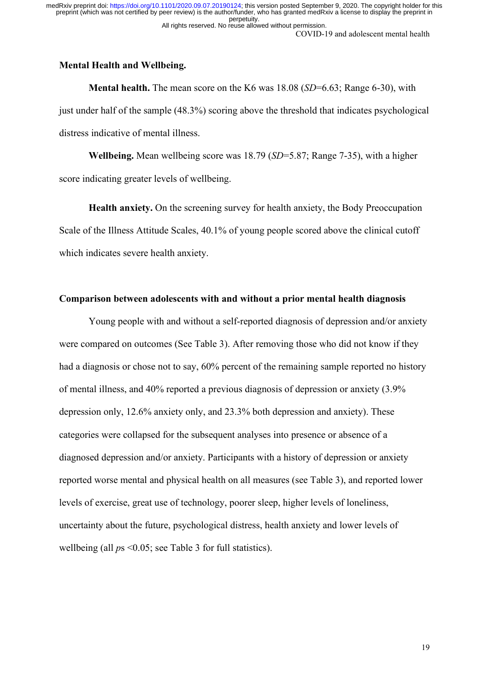#### COVID-19 and adolescent mental health

# **Mental Health and Wellbeing.**

**Mental health.** The mean score on the K6 was 18.08 (*SD*=6.63; Range 6-30), with just under half of the sample (48.3%) scoring above the threshold that indicates psychological distress indicative of mental illness.

**Wellbeing.** Mean wellbeing score was 18.79 (*SD*=5.87; Range 7-35), with a higher score indicating greater levels of wellbeing.

**Health anxiety.** On the screening survey for health anxiety, the Body Preoccupation Scale of the Illness Attitude Scales, 40.1% of young people scored above the clinical cutoff which indicates severe health anxiety.

# **Comparison between adolescents with and without a prior mental health diagnosis**

Young people with and without a self-reported diagnosis of depression and/or anxiety were compared on outcomes (See Table 3). After removing those who did not know if they had a diagnosis or chose not to say, 60% percent of the remaining sample reported no history of mental illness, and 40% reported a previous diagnosis of depression or anxiety (3.9% depression only, 12.6% anxiety only, and 23.3% both depression and anxiety). These categories were collapsed for the subsequent analyses into presence or absence of a diagnosed depression and/or anxiety. Participants with a history of depression or anxiety reported worse mental and physical health on all measures (see Table 3), and reported lower levels of exercise, great use of technology, poorer sleep, higher levels of loneliness, uncertainty about the future, psychological distress, health anxiety and lower levels of wellbeing (all  $ps \le 0.05$ ; see Table 3 for full statistics).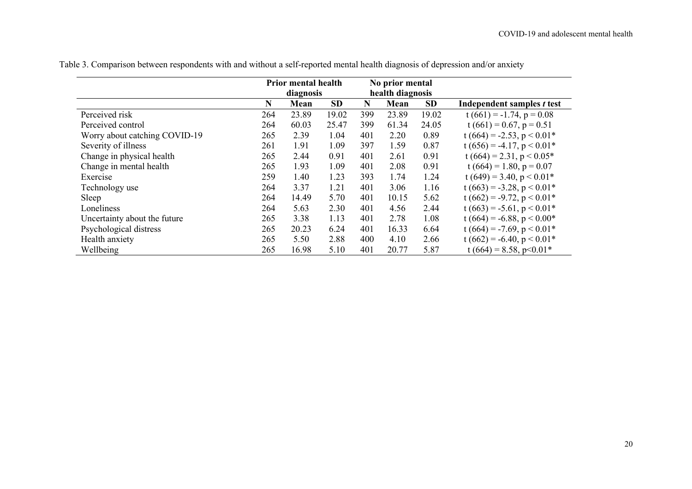|                               | <b>Prior mental health</b> |           |           |                  | No prior mental |           |                                |
|-------------------------------|----------------------------|-----------|-----------|------------------|-----------------|-----------|--------------------------------|
|                               |                            | diagnosis |           | health diagnosis |                 |           |                                |
|                               | N                          | Mean      | <b>SD</b> | N                | Mean            | <b>SD</b> | Independent samples t test     |
| Perceived risk                | 264                        | 23.89     | 19.02     | 399              | 23.89           | 19.02     | $t(661) = -1.74$ , $p = 0.08$  |
| Perceived control             | 264                        | 60.03     | 25.47     | 399              | 61.34           | 24.05     | $t(661) = 0.67$ , $p = 0.51$   |
| Worry about catching COVID-19 | 265                        | 2.39      | 1.04      | 401              | 2.20            | 0.89      | $t(664) = -2.53$ , $p < 0.01*$ |
| Severity of illness           | 261                        | 1.91      | 1.09      | 397              | 1.59            | 0.87      | $t(656) = -4.17$ , $p < 0.01*$ |
| Change in physical health     | 265                        | 2.44      | 0.91      | 401              | 2.61            | 0.91      | t (664) = 2.31, $p < 0.05*$    |
| Change in mental health       | 265                        | 1.93      | 1.09      | 401              | 2.08            | 0.91      | $t(664) = 1.80, p = 0.07$      |
| Exercise                      | 259                        | 1.40      | 1.23      | 393              | 1.74            | 1.24      | $t(649) = 3.40, p < 0.01*$     |
| Technology use                | 264                        | 3.37      | 1.21      | 401              | 3.06            | 1.16      | $t(663) = -3.28$ , $p < 0.01*$ |
| Sleep                         | 264                        | 14.49     | 5.70      | 401              | 10.15           | 5.62      | $t(662) = -9.72$ , $p < 0.01*$ |
| Loneliness                    | 264                        | 5.63      | 2.30      | 401              | 4.56            | 2.44      | $t(663) = -5.61$ , $p < 0.01*$ |
| Uncertainty about the future  | 265                        | 3.38      | 1.13      | 401              | 2.78            | 1.08      | $t(664) = -6.88$ , $p < 0.00*$ |
| Psychological distress        | 265                        | 20.23     | 6.24      | 401              | 16.33           | 6.64      | $t(664) = -7.69$ , $p < 0.01*$ |
| Health anxiety                | 265                        | 5.50      | 2.88      | 400              | 4.10            | 2.66      | $t(662) = -6.40, p < 0.01*$    |
| Wellbeing                     | 265                        | 16.98     | 5.10      | 401              | 20.77           | 5.87      | $t(664) = 8.58$ , p<0.01*      |

Table 3. Comparison between respondents with and without a self-reported mental health diagnosis of depression and/or anxiety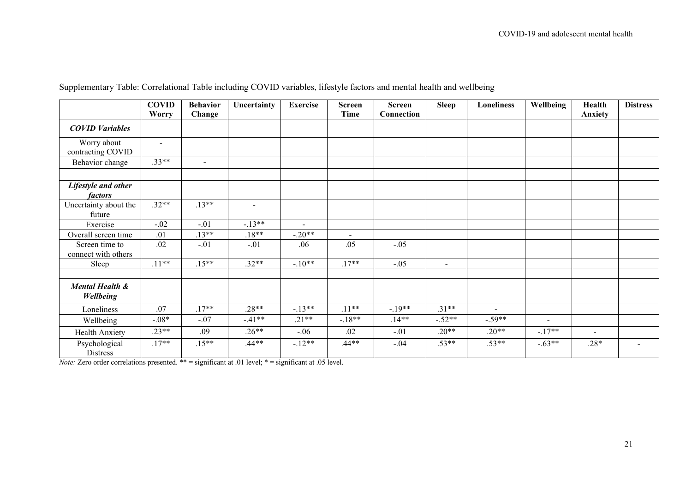|                                       | <b>COVID</b> | <b>Behavior</b> | Uncertainty    | <b>Exercise</b> | <b>Screen</b> | <b>Screen</b> | <b>Sleep</b> | <b>Loneliness</b> | Wellbeing | Health  | <b>Distress</b>          |
|---------------------------------------|--------------|-----------------|----------------|-----------------|---------------|---------------|--------------|-------------------|-----------|---------|--------------------------|
|                                       | <b>Worry</b> | Change          |                |                 | <b>Time</b>   | Connection    |              |                   |           | Anxiety |                          |
| <b>COVID Variables</b>                |              |                 |                |                 |               |               |              |                   |           |         |                          |
| Worry about<br>contracting COVID      | $\sim$       |                 |                |                 |               |               |              |                   |           |         |                          |
| Behavior change                       | $.33**$      | $\sim$          |                |                 |               |               |              |                   |           |         |                          |
| Lifestyle and other<br><i>factors</i> |              |                 |                |                 |               |               |              |                   |           |         |                          |
| Uncertainty about the<br>future       | $.32**$      | $.13**$         | $\blacksquare$ |                 |               |               |              |                   |           |         |                          |
| Exercise                              | $-.02$       | $-.01$          | $-.13**$       | $\blacksquare$  |               |               |              |                   |           |         |                          |
| Overall screen time                   | .01          | $.13**$         | $.18**$        | $-.20**$        | Ξ.            |               |              |                   |           |         |                          |
| Screen time to<br>connect with others | .02          | $-.01$          | $-.01$         | .06             | .05           | $-.05$        |              |                   |           |         |                          |
| Sleep                                 | $.11**$      | $.15***$        | $.32**$        | $-.10**$        | $.17**$       | $-.05$        | $\sim$       |                   |           |         |                          |
| Mental Health &<br><b>Wellbeing</b>   |              |                 |                |                 |               |               |              |                   |           |         |                          |
| Loneliness                            | .07          | $.17**$         | $.28**$        | $-13**$         | $.11***$      | $-.19**$      | $.31**$      | $\sim$            |           |         |                          |
| Wellbeing                             | $-.08*$      | $-.07$          | $-.41**$       | $.21**$         | $-18**$       | $.14**$       | $-.52**$     | $-.59**$          |           |         |                          |
| Health Anxiety                        | $.23**$      | .09             | $.26**$        | $-.06$          | .02           | $-.01$        | $.20**$      | $.20**$           | $-.17**$  | $\sim$  |                          |
| Psychological<br><b>Distress</b>      | $.17**$      | $.15**$         | $.44**$        | $-12**$         | $.44**$       | $-.04$        | $.53**$      | $.53**$           | $-.63**$  | $.28*$  | $\overline{\phantom{0}}$ |

Supplementary Table: Correlational Table including COVID variables, lifestyle factors and mental health and wellbeing

*Note:* Zero order correlations presented. \*\* = significant at .01 level; \* = significant at .05 level.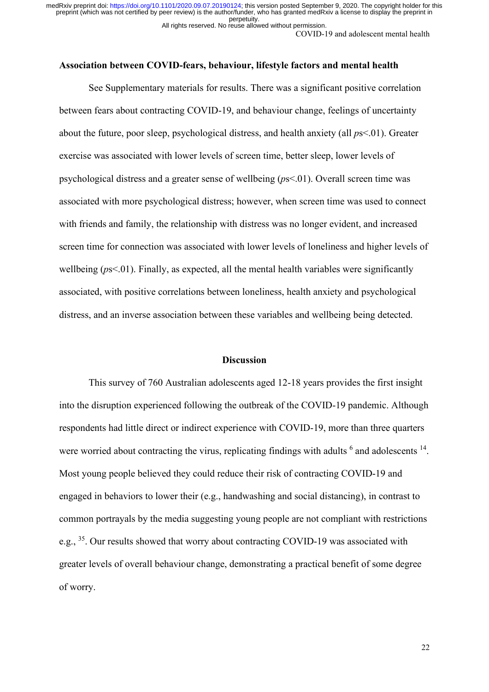All rights reserved. No reuse allowed without permission.

COVID-19 and adolescent mental health

#### **Association between COVID-fears, behaviour, lifestyle factors and mental health**

See Supplementary materials for results. There was a significant positive correlation between fears about contracting COVID-19, and behaviour change, feelings of uncertainty about the future, poor sleep, psychological distress, and health anxiety (all *p*s<.01). Greater exercise was associated with lower levels of screen time, better sleep, lower levels of psychological distress and a greater sense of wellbeing (*p*s<.01). Overall screen time was associated with more psychological distress; however, when screen time was used to connect with friends and family, the relationship with distress was no longer evident, and increased screen time for connection was associated with lower levels of loneliness and higher levels of wellbeing (*ps*<.01). Finally, as expected, all the mental health variables were significantly associated, with positive correlations between loneliness, health anxiety and psychological distress, and an inverse association between these variables and wellbeing being detected.

#### **Discussion**

This survey of 760 Australian adolescents aged 12-18 years provides the first insight into the disruption experienced following the outbreak of the COVID-19 pandemic. Although respondents had little direct or indirect experience with COVID-19, more than three quarters were worried about contracting the virus, replicating findings with adults  $6$  and adolescents  $14$ . Most young people believed they could reduce their risk of contracting COVID-19 and engaged in behaviors to lower their (e.g., handwashing and social distancing), in contrast to common portrayals by the media suggesting young people are not compliant with restrictions e.g., <sup>35</sup>. Our results showed that worry about contracting COVID-19 was associated with greater levels of overall behaviour change, demonstrating a practical benefit of some degree of worry.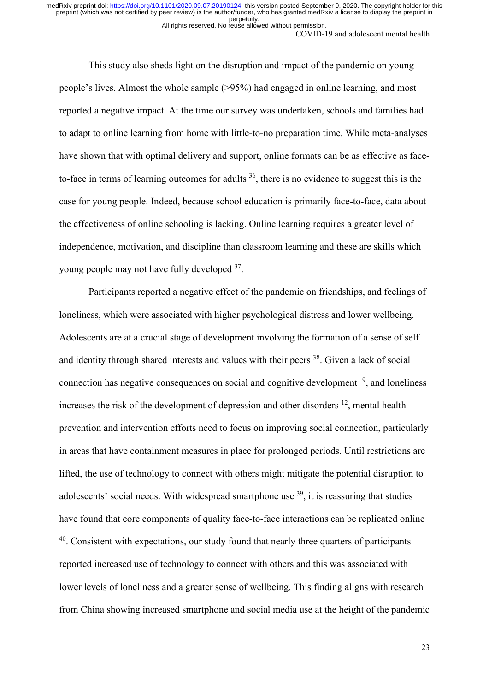All rights reserved. No reuse allowed without permission.

COVID-19 and adolescent mental health

This study also sheds light on the disruption and impact of the pandemic on young people's lives. Almost the whole sample (>95%) had engaged in online learning, and most reported a negative impact. At the time our survey was undertaken, schools and families had to adapt to online learning from home with little-to-no preparation time. While meta-analyses have shown that with optimal delivery and support, online formats can be as effective as faceto-face in terms of learning outcomes for adults  $36$ , there is no evidence to suggest this is the case for young people. Indeed, because school education is primarily face-to-face, data about the effectiveness of online schooling is lacking. Online learning requires a greater level of independence, motivation, and discipline than classroom learning and these are skills which young people may not have fully developed 37.

Participants reported a negative effect of the pandemic on friendships, and feelings of loneliness, which were associated with higher psychological distress and lower wellbeing. Adolescents are at a crucial stage of development involving the formation of a sense of self and identity through shared interests and values with their peers <sup>38</sup>. Given a lack of social connection has negative consequences on social and cognitive development  $9$ , and loneliness increases the risk of the development of depression and other disorders  $^{12}$ , mental health prevention and intervention efforts need to focus on improving social connection, particularly in areas that have containment measures in place for prolonged periods. Until restrictions are lifted, the use of technology to connect with others might mitigate the potential disruption to adolescents' social needs. With widespread smartphone use  $39$ , it is reassuring that studies have found that core components of quality face-to-face interactions can be replicated online <sup>40</sup>. Consistent with expectations, our study found that nearly three quarters of participants reported increased use of technology to connect with others and this was associated with lower levels of loneliness and a greater sense of wellbeing. This finding aligns with research from China showing increased smartphone and social media use at the height of the pandemic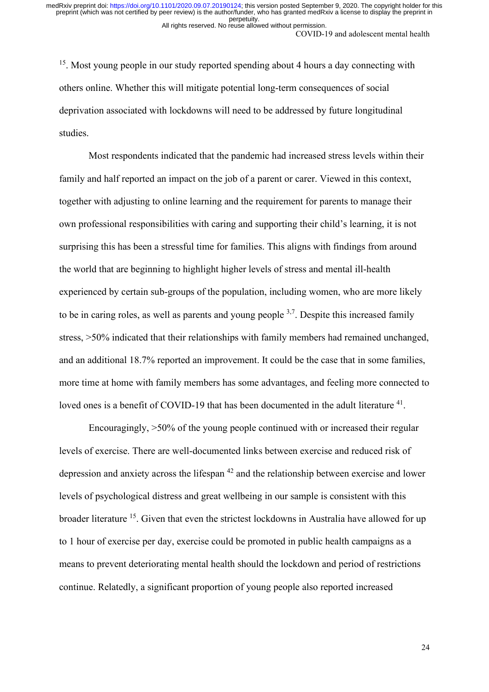COVID-19 and adolescent mental health All rights reserved. No reuse allowed without permission.

<sup>15</sup>. Most young people in our study reported spending about 4 hours a day connecting with others online. Whether this will mitigate potential long-term consequences of social deprivation associated with lockdowns will need to be addressed by future longitudinal studies.

 Most respondents indicated that the pandemic had increased stress levels within their family and half reported an impact on the job of a parent or carer. Viewed in this context, together with adjusting to online learning and the requirement for parents to manage their own professional responsibilities with caring and supporting their child's learning, it is not surprising this has been a stressful time for families. This aligns with findings from around the world that are beginning to highlight higher levels of stress and mental ill-health experienced by certain sub-groups of the population, including women, who are more likely to be in caring roles, as well as parents and young people  $3,7$ . Despite this increased family stress, >50% indicated that their relationships with family members had remained unchanged, and an additional 18.7% reported an improvement. It could be the case that in some families, more time at home with family members has some advantages, and feeling more connected to loved ones is a benefit of COVID-19 that has been documented in the adult literature <sup>41</sup>.

 Encouragingly, >50% of the young people continued with or increased their regular levels of exercise. There are well-documented links between exercise and reduced risk of depression and anxiety across the lifespan 42 and the relationship between exercise and lower levels of psychological distress and great wellbeing in our sample is consistent with this broader literature 15. Given that even the strictest lockdowns in Australia have allowed for up to 1 hour of exercise per day, exercise could be promoted in public health campaigns as a means to prevent deteriorating mental health should the lockdown and period of restrictions continue. Relatedly, a significant proportion of young people also reported increased

24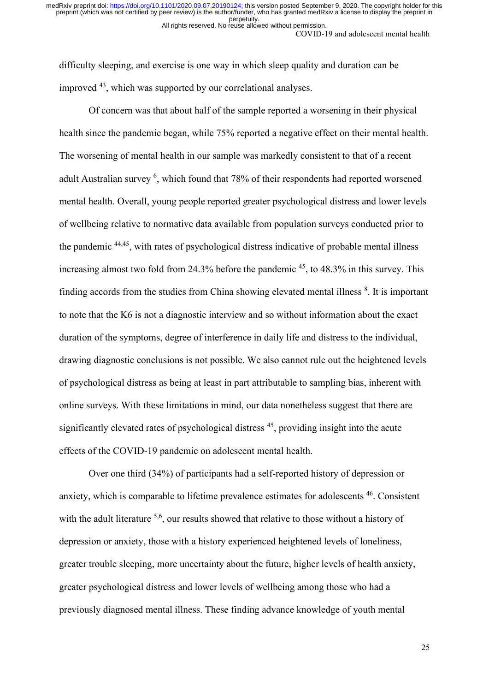COVID-19 and adolescent mental health All rights reserved. No reuse allowed without permission.

difficulty sleeping, and exercise is one way in which sleep quality and duration can be improved 43, which was supported by our correlational analyses.

Of concern was that about half of the sample reported a worsening in their physical health since the pandemic began, while 75% reported a negative effect on their mental health. The worsening of mental health in our sample was markedly consistent to that of a recent adult Australian survey <sup>6</sup>, which found that 78% of their respondents had reported worsened mental health. Overall, young people reported greater psychological distress and lower levels of wellbeing relative to normative data available from population surveys conducted prior to the pandemic 44,45, with rates of psychological distress indicative of probable mental illness increasing almost two fold from  $24.3\%$  before the pandemic  $45$ , to  $48.3\%$  in this survey. This finding accords from the studies from China showing elevated mental illness <sup>8</sup>. It is important to note that the K6 is not a diagnostic interview and so without information about the exact duration of the symptoms, degree of interference in daily life and distress to the individual, drawing diagnostic conclusions is not possible. We also cannot rule out the heightened levels of psychological distress as being at least in part attributable to sampling bias, inherent with online surveys. With these limitations in mind, our data nonetheless suggest that there are significantly elevated rates of psychological distress  $45$ , providing insight into the acute effects of the COVID-19 pandemic on adolescent mental health.

Over one third (34%) of participants had a self-reported history of depression or anxiety, which is comparable to lifetime prevalence estimates for adolescents 46. Consistent with the adult literature <sup>5,6</sup>, our results showed that relative to those without a history of depression or anxiety, those with a history experienced heightened levels of loneliness, greater trouble sleeping, more uncertainty about the future, higher levels of health anxiety, greater psychological distress and lower levels of wellbeing among those who had a previously diagnosed mental illness. These finding advance knowledge of youth mental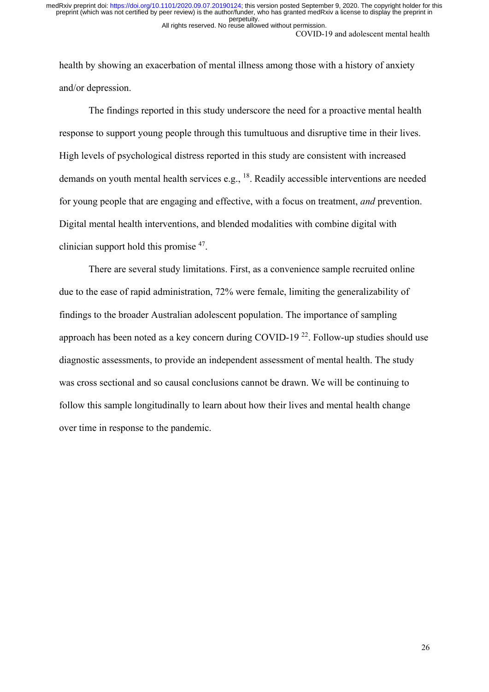COVID-19 and adolescent mental health All rights reserved. No reuse allowed without permission.

health by showing an exacerbation of mental illness among those with a history of anxiety and/or depression.

The findings reported in this study underscore the need for a proactive mental health response to support young people through this tumultuous and disruptive time in their lives. High levels of psychological distress reported in this study are consistent with increased demands on youth mental health services e.g., <sup>18</sup>. Readily accessible interventions are needed for young people that are engaging and effective, with a focus on treatment, *and* prevention. Digital mental health interventions, and blended modalities with combine digital with clinician support hold this promise 47.

There are several study limitations. First, as a convenience sample recruited online due to the ease of rapid administration, 72% were female, limiting the generalizability of findings to the broader Australian adolescent population. The importance of sampling approach has been noted as a key concern during COVID-19<sup>22</sup>. Follow-up studies should use diagnostic assessments, to provide an independent assessment of mental health. The study was cross sectional and so causal conclusions cannot be drawn. We will be continuing to follow this sample longitudinally to learn about how their lives and mental health change over time in response to the pandemic.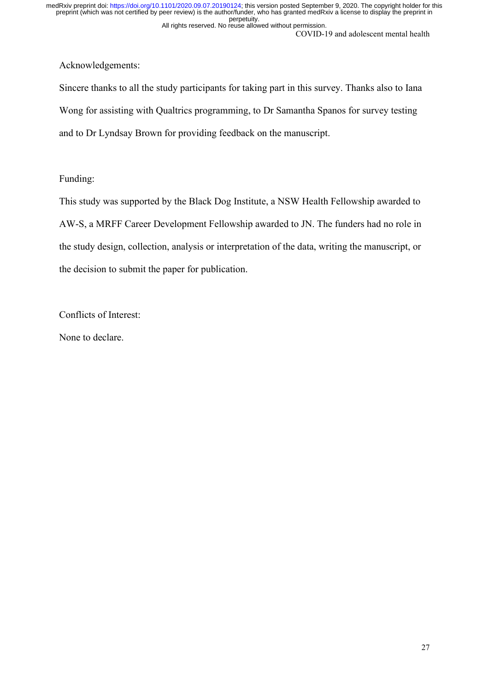COVID-19 and adolescent mental health All rights reserved. No reuse allowed without permission.

Acknowledgements:

Sincere thanks to all the study participants for taking part in this survey. Thanks also to Iana Wong for assisting with Qualtrics programming, to Dr Samantha Spanos for survey testing and to Dr Lyndsay Brown for providing feedback on the manuscript.

Funding:

This study was supported by the Black Dog Institute, a NSW Health Fellowship awarded to AW-S, a MRFF Career Development Fellowship awarded to JN. The funders had no role in the study design, collection, analysis or interpretation of the data, writing the manuscript, or the decision to submit the paper for publication.

Conflicts of Interest:

None to declare.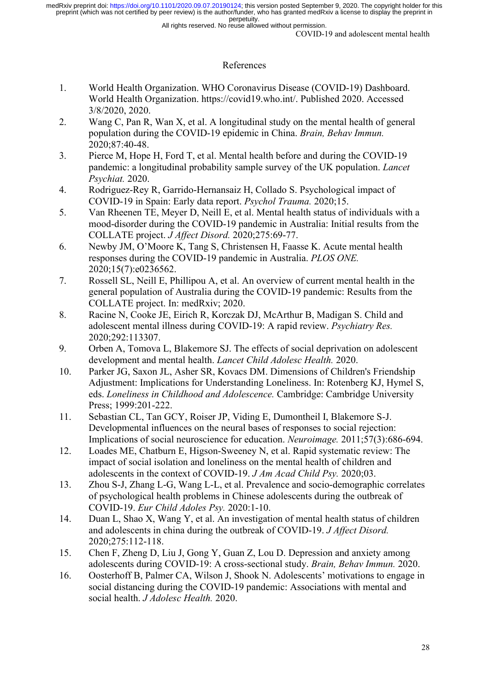All rights reserved. No reuse allowed without permission.

COVID-19 and adolescent mental health

# References

- 1. World Health Organization. WHO Coronavirus Disease (COVID-19) Dashboard. World Health Organization. https://covid19.who.int/. Published 2020. Accessed 3/8/2020, 2020.
- 2. Wang C, Pan R, Wan X, et al. A longitudinal study on the mental health of general population during the COVID-19 epidemic in China. *Brain, Behav Immun.*  2020;87:40-48.
- 3. Pierce M, Hope H, Ford T, et al. Mental health before and during the COVID-19 pandemic: a longitudinal probability sample survey of the UK population. *Lancet Psychiat.* 2020.
- 4. Rodriguez-Rey R, Garrido-Hernansaiz H, Collado S. Psychological impact of COVID-19 in Spain: Early data report. *Psychol Trauma.* 2020;15.
- 5. Van Rheenen TE, Meyer D, Neill E, et al. Mental health status of individuals with a mood-disorder during the COVID-19 pandemic in Australia: Initial results from the COLLATE project. *J Affect Disord.* 2020;275:69-77.
- 6. Newby JM, O'Moore K, Tang S, Christensen H, Faasse K. Acute mental health responses during the COVID-19 pandemic in Australia. *PLOS ONE.*  2020;15(7):e0236562.
- 7. Rossell SL, Neill E, Phillipou A, et al. An overview of current mental health in the general population of Australia during the COVID-19 pandemic: Results from the COLLATE project. In: medRxiv; 2020.
- 8. Racine N, Cooke JE, Eirich R, Korczak DJ, McArthur B, Madigan S. Child and adolescent mental illness during COVID-19: A rapid review. *Psychiatry Res.*  2020;292:113307.
- 9. Orben A, Tomova L, Blakemore SJ. The effects of social deprivation on adolescent development and mental health. *Lancet Child Adolesc Health.* 2020.
- 10. Parker JG, Saxon JL, Asher SR, Kovacs DM. Dimensions of Children's Friendship Adjustment: Implications for Understanding Loneliness. In: Rotenberg KJ, Hymel S, eds. *Loneliness in Childhood and Adolescence.* Cambridge: Cambridge University Press; 1999:201-222.
- 11. Sebastian CL, Tan GCY, Roiser JP, Viding E, Dumontheil I, Blakemore S-J. Developmental influences on the neural bases of responses to social rejection: Implications of social neuroscience for education. *Neuroimage.* 2011;57(3):686-694.
- 12. Loades ME, Chatburn E, Higson-Sweeney N, et al. Rapid systematic review: The impact of social isolation and loneliness on the mental health of children and adolescents in the context of COVID-19. *J Am Acad Child Psy.* 2020;03.
- 13. Zhou S-J, Zhang L-G, Wang L-L, et al. Prevalence and socio-demographic correlates of psychological health problems in Chinese adolescents during the outbreak of COVID-19. *Eur Child Adoles Psy.* 2020:1-10.
- 14. Duan L, Shao X, Wang Y, et al. An investigation of mental health status of children and adolescents in china during the outbreak of COVID-19. *J Affect Disord.*  2020;275:112-118.
- 15. Chen F, Zheng D, Liu J, Gong Y, Guan Z, Lou D. Depression and anxiety among adolescents during COVID-19: A cross-sectional study. *Brain, Behav Immun.* 2020.
- 16. Oosterhoff B, Palmer CA, Wilson J, Shook N. Adolescents' motivations to engage in social distancing during the COVID-19 pandemic: Associations with mental and social health. *J Adolesc Health.* 2020.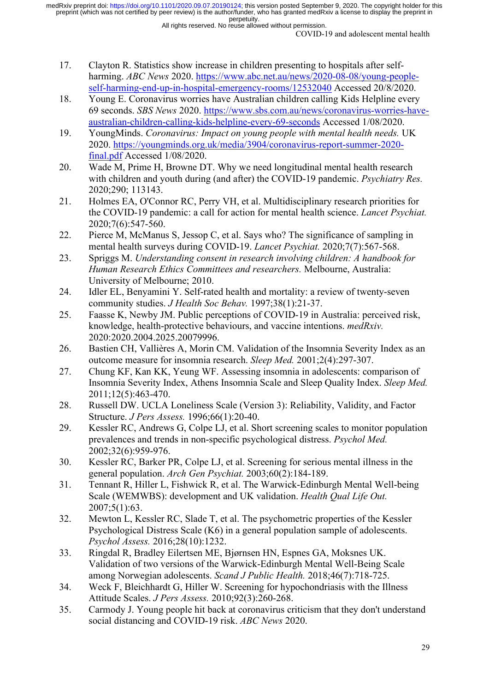All rights reserved. No reuse allowed without permission.

COVID-19 and adolescent mental health

- 17. Clayton R. Statistics show increase in children presenting to hospitals after selfharming. *ABC News* 2020. [https://www.abc.net.au/news/2020-08-08/young-people](https://www.abc.net.au/news/2020-08-08/young-people-self-harming-end-up-in-hospital-emergency-rooms/12532040)[self-harming-end-up-in-hospital-emergency-rooms/12532040](https://www.abc.net.au/news/2020-08-08/young-people-self-harming-end-up-in-hospital-emergency-rooms/12532040) Accessed 20/8/2020.
- 18. Young E. Coronavirus worries have Australian children calling Kids Helpline every 69 seconds. *SBS News* 2020. [https://www.sbs.com.au/news/coronavirus-worries-have](https://www.sbs.com.au/news/coronavirus-worries-have-australian-children-calling-kids-helpline-every-69-seconds)[australian-children-calling-kids-helpline-every-69-seconds](https://www.sbs.com.au/news/coronavirus-worries-have-australian-children-calling-kids-helpline-every-69-seconds) Accessed 1/08/2020.
- 19. YoungMinds. *Coronavirus: Impact on young people with mental health needs.* UK 2020. [https://youngminds.org.uk/media/3904/coronavirus-report-summer-2020](https://youngminds.org.uk/media/3904/coronavirus-report-summer-2020-final.pdf) [final.pdf](https://youngminds.org.uk/media/3904/coronavirus-report-summer-2020-final.pdf) Accessed 1/08/2020.
- 20. Wade M, Prime H, Browne DT. Why we need longitudinal mental health research with children and youth during (and after) the COVID-19 pandemic. *Psychiatry Res.*  2020;290; 113143.
- 21. Holmes EA, O'Connor RC, Perry VH, et al. Multidisciplinary research priorities for the COVID-19 pandemic: a call for action for mental health science. *Lancet Psychiat.*  2020;7(6):547-560.
- 22. Pierce M, McManus S, Jessop C, et al. Says who? The significance of sampling in mental health surveys during COVID-19. *Lancet Psychiat.* 2020;7(7):567-568.
- 23. Spriggs M. *Understanding consent in research involving children: A handbook for Human Research Ethics Committees and researchers.* Melbourne, Australia: University of Melbourne; 2010.
- 24. Idler EL, Benyamini Y. Self-rated health and mortality: a review of twenty-seven community studies. *J Health Soc Behav.* 1997;38(1):21-37.
- 25. Faasse K, Newby JM. Public perceptions of COVID-19 in Australia: perceived risk, knowledge, health-protective behaviours, and vaccine intentions. *medRxiv.*  2020:2020.2004.2025.20079996.
- 26. Bastien CH, Vallières A, Morin CM. Validation of the Insomnia Severity Index as an outcome measure for insomnia research. *Sleep Med.* 2001;2(4):297-307.
- 27. Chung KF, Kan KK, Yeung WF. Assessing insomnia in adolescents: comparison of Insomnia Severity Index, Athens Insomnia Scale and Sleep Quality Index. *Sleep Med.*  2011;12(5):463-470.
- 28. Russell DW. UCLA Loneliness Scale (Version 3): Reliability, Validity, and Factor Structure. *J Pers Assess.* 1996;66(1):20-40.
- 29. Kessler RC, Andrews G, Colpe LJ, et al. Short screening scales to monitor population prevalences and trends in non-specific psychological distress. *Psychol Med.*  2002;32(6):959-976.
- 30. Kessler RC, Barker PR, Colpe LJ, et al. Screening for serious mental illness in the general population. *Arch Gen Psychiat.* 2003;60(2):184-189.
- 31. Tennant R, Hiller L, Fishwick R, et al. The Warwick-Edinburgh Mental Well-being Scale (WEMWBS): development and UK validation. *Health Qual Life Out.*  2007;5(1):63.
- 32. Mewton L, Kessler RC, Slade T, et al. The psychometric properties of the Kessler Psychological Distress Scale (K6) in a general population sample of adolescents. *Psychol Assess.* 2016;28(10):1232.
- 33. Ringdal R, Bradley Eilertsen ME, Bjørnsen HN, Espnes GA, Moksnes UK. Validation of two versions of the Warwick-Edinburgh Mental Well-Being Scale among Norwegian adolescents. *Scand J Public Health.* 2018;46(7):718-725.
- 34. Weck F, Bleichhardt G, Hiller W. Screening for hypochondriasis with the Illness Attitude Scales. *J Pers Assess.* 2010;92(3):260-268.
- 35. Carmody J. Young people hit back at coronavirus criticism that they don't understand social distancing and COVID-19 risk. *ABC News* 2020.